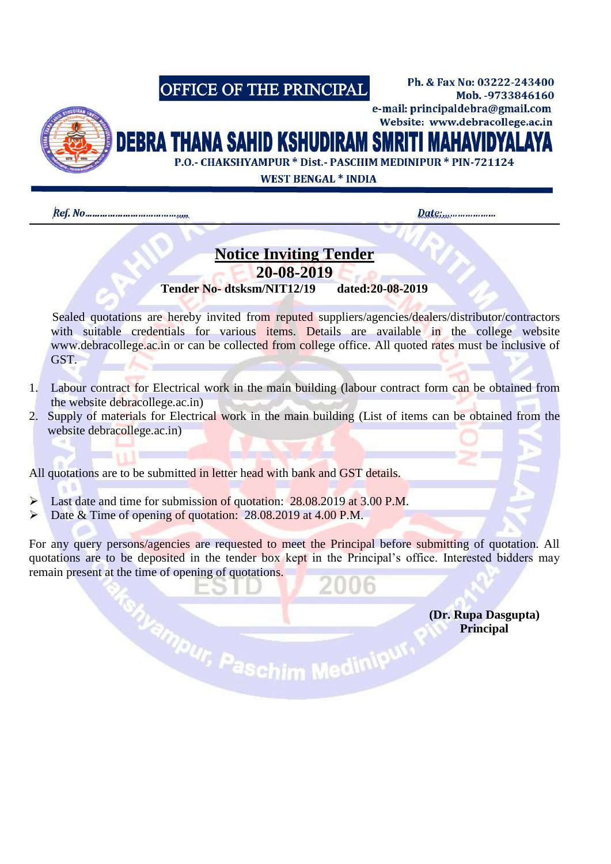## OFFICE OF THE PRINCIPAL



Website: www.debracollege.ac.in DEBRA THANA SAHID KSHUDIRAM SMRITI MAHAV

P.O. - CHAKSHYAMPUR \* Dist. - PASCHIM MEDINIPUR \* PIN-721124

**WEST BENGAL \* INDIA** 

Date:......................

Ph. & Fax No: 03222-243400

e-mail: principaldebra@gmail.com

Mob. - 9733846160

# **Notice Inviting Tender 20-08-2019**

**Tender No- dtsksm/NIT12/19 dated:20-08-2019**

Sealed quotations are hereby invited from reputed suppliers/agencies/dealers/distributor/contractors with suitable credentials for various items. Details are available in the college website www.debracollege.ac.in or can be collected from college office. All quoted rates must be inclusive of GST.

- 1. Labour contract for Electrical work in the main building (labour contract form can be obtained from the website debracollege.ac.in)
- 2. Supply of materials for Electrical work in the main building (List of items can be obtained from the website debracollege.ac.in)

All quotations are to be submitted in letter head with bank and GST details.

- Last date and time for submission of quotation: 28.08.2019 at 3.00 P.M.
- Date & Time of opening of quotation: 28.08.2019 at 4.00 P.M.

For any query persons/agencies are requested to meet the Principal before submitting of quotation. All quotations are to be deposited in the tender box kept in the Principal's office. Interested bidders may remain present at the time of opening of quotations.

*CDr. Rupa Dasgupta*) *Principal* **Principal**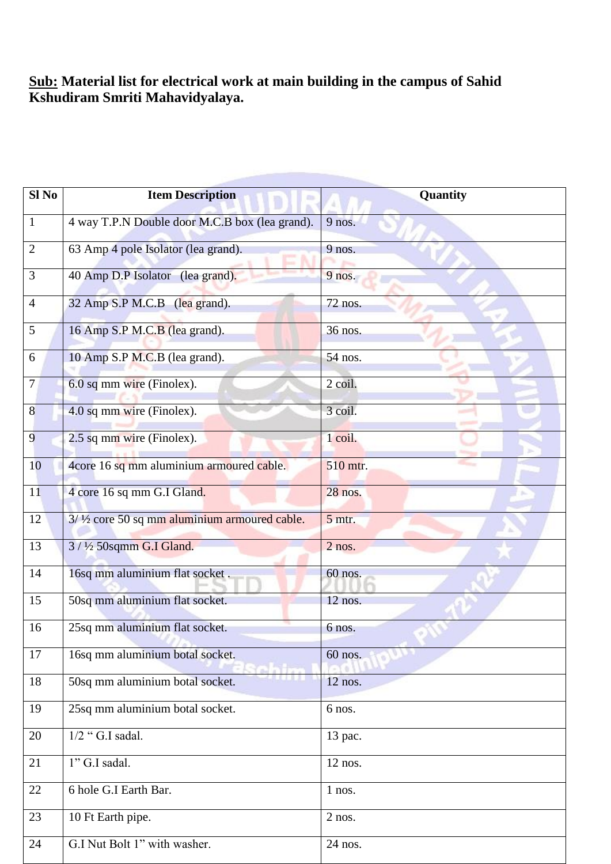#### **Sub: Material list for electrical work at main building in the campus of Sahid Kshudiram Smriti Mahavidyalaya.**

| Sl <sub>No</sub> | <b>Item Description</b>                        | Quantity  |
|------------------|------------------------------------------------|-----------|
| $\mathbf{1}$     | 4 way T.P.N Double door M.C.B box (lea grand). | 9 nos.    |
| $\overline{2}$   | 63 Amp 4 pole Isolator (lea grand).            | 9 nos.    |
| 3                | 40 Amp D.P Isolator (lea grand).               | 9 nos.    |
| 4                | 32 Amp S.P M.C.B (lea grand).                  | 72 nos.   |
| 5                | 16 Amp S.P M.C.B (lea grand).                  | 36 nos.   |
| 6                | 10 Amp S.P M.C.B (lea grand).                  | 54 nos.   |
| 7                | 6.0 sq mm wire (Finolex).                      | 2 coil.   |
| 8                | 4.0 sq mm wire (Finolex).                      | 3 coil.   |
| 9                | 2.5 sq mm wire (Finolex).                      | 1 coil.   |
| 10               | 4core 16 sq mm aluminium armoured cable.       | 510 mtr.  |
| 11               | 4 core 16 sq mm G.I Gland.                     | 28 nos.   |
| 12               | 3/1/2 core 50 sq mm aluminium armoured cable.  | 5 mtr.    |
| 13               | 3 / 1/2 50sqmm G.I Gland.                      | $2$ nos.  |
| 14               | 16sq mm aluminium flat socket.                 | 60 nos.   |
| 15               | 50sq mm aluminium flat socket.                 | $12$ nos. |
| 16               | 25sq mm aluminium flat socket.                 | 6 nos.    |
| 17               | 16sq mm aluminium botal socket.                | 60 nos.   |
| 18               | 50sq mm aluminium botal socket.                | $12$ nos. |
| 19               | 25sq mm aluminium botal socket.                | 6 nos.    |
| 20               | $1/2$ "G.I sadal.                              | 13 pac.   |
| 21               | 1" G.I sadal.                                  | 12 nos.   |
| 22               | 6 hole G.I Earth Bar.                          | 1 nos.    |
| 23               | 10 Ft Earth pipe.                              | $2$ nos.  |
| 24               | G.I Nut Bolt 1" with washer.                   | 24 nos.   |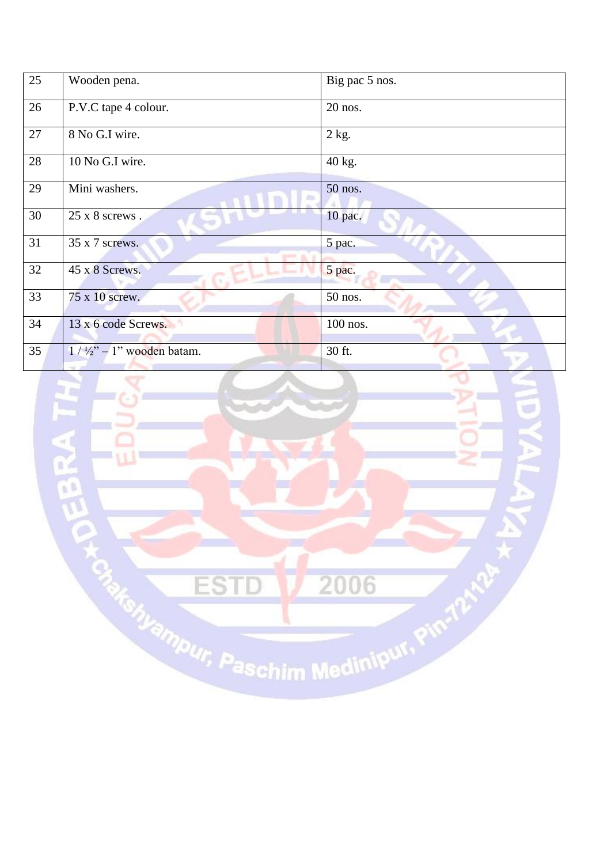| 25 | Wooden pena.                           | Big pac 5 nos. |
|----|----------------------------------------|----------------|
| 26 | P.V.C tape 4 colour.                   | 20 nos.        |
| 27 | 8 No G.I wire.                         | $2$ kg.        |
| 28 | 10 No G.I wire.                        | 40 kg.         |
| 29 | Mini washers.                          | 50 nos.        |
| 30 | 25 x 8 screws.                         | 10 pac.        |
| 31 | 35 x 7 screws.<br>pens.                | 5 pac.         |
| 32 | 45 x 8 Screws.                         | 5 pac.         |
| 33 | 75 x 10 screw.                         | 50 nos.        |
| 34 | 13 x 6 code Screws.                    | 100 nos.       |
| 35 | $1 / \frac{1}{2}$ " – 1" wooden batam. | 30 ft.         |

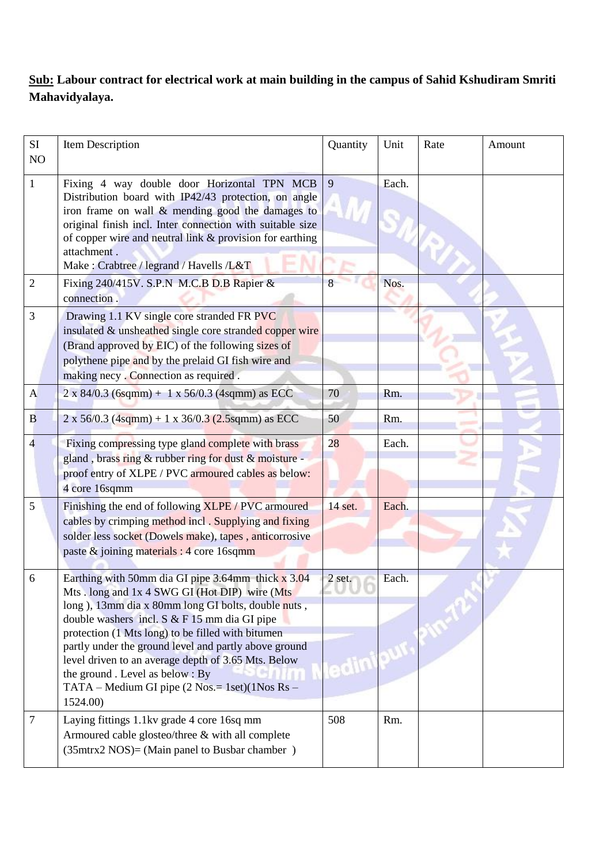### **Sub: Labour contract for electrical work at main building in the campus of Sahid Kshudiram Smriti Mahavidyalaya.**

| SI<br>NO       | Item Description                                                                                                                                                                                                                                                                                                                                                                                                                                                                | Quantity        | Unit  | Rate | Amount |
|----------------|---------------------------------------------------------------------------------------------------------------------------------------------------------------------------------------------------------------------------------------------------------------------------------------------------------------------------------------------------------------------------------------------------------------------------------------------------------------------------------|-----------------|-------|------|--------|
| $\mathbf{1}$   | Fixing 4 way double door Horizontal TPN MCB<br>Distribution board with IP42/43 protection, on angle<br>iron frame on wall $\&$ mending good the damages to<br>original finish incl. Inter connection with suitable size<br>of copper wire and neutral link & provision for earthing<br>attachment.<br>Make: Crabtree / legrand / Havells /L&T                                                                                                                                   | 9               | Each. |      |        |
| $\overline{2}$ | Fixing 240/415V. S.P.N M.C.B D.B Rapier &<br>connection.                                                                                                                                                                                                                                                                                                                                                                                                                        | 8               | Nos.  |      |        |
| 3              | Drawing 1.1 KV single core stranded FR PVC<br>insulated & unsheathed single core stranded copper wire<br>(Brand approved by EIC) of the following sizes of<br>polythene pipe and by the prelaid GI fish wire and<br>making necy. Connection as required.                                                                                                                                                                                                                        |                 |       |      |        |
| $\mathbf{A}$   | $2 \times 84/0.3$ (6sqmm) + 1 x 56/0.3 (4sqmm) as ECC                                                                                                                                                                                                                                                                                                                                                                                                                           | 70              | Rm.   |      |        |
| B              | $2 \times 56/0.3$ (4sqmm) + 1 x 36/0.3 (2.5sqmm) as ECC                                                                                                                                                                                                                                                                                                                                                                                                                         | 50              | Rm.   |      |        |
| 4              | Fixing compressing type gland complete with brass<br>gland, brass ring & rubber ring for dust & moisture -<br>proof entry of XLPE / PVC armoured cables as below:<br>4 core 16sqmm                                                                                                                                                                                                                                                                                              | 28              | Each. |      |        |
| 5              | Finishing the end of following XLPE / PVC armoured<br>cables by crimping method incl. Supplying and fixing<br>solder less socket (Dowels make), tapes, anticorrosive<br>paste & joining materials : 4 core 16sqmm                                                                                                                                                                                                                                                               | 14 set.         | Each. |      |        |
| 6              | Earthing with 50mm dia GI pipe 3.64mm thick x 3.04<br>Mts. long and 1x 4 SWG GI (Hot DIP) wire (Mts<br>long), 13mm dia x 80mm long GI bolts, double nuts,<br>double washers incl. S & F 15 mm dia GI pipe<br>protection (1 Mts long) to be filled with bitumen<br>partly under the ground level and partly above ground<br>level driven to an average depth of 3.65 Mts. Below<br>the ground. Level as below: By<br>TATA - Medium GI pipe (2 Nos. = 1set)(1Nos Rs -<br>1524.00) | 2 set.<br>edini | Each. |      |        |
| 7              | Laying fittings 1.1kv grade 4 core 16sq mm<br>Armoured cable glosteo/three & with all complete<br>$(35mtrx2 NOS) = (Main panel to Busbar chamber)$                                                                                                                                                                                                                                                                                                                              | 508             | Rm.   |      |        |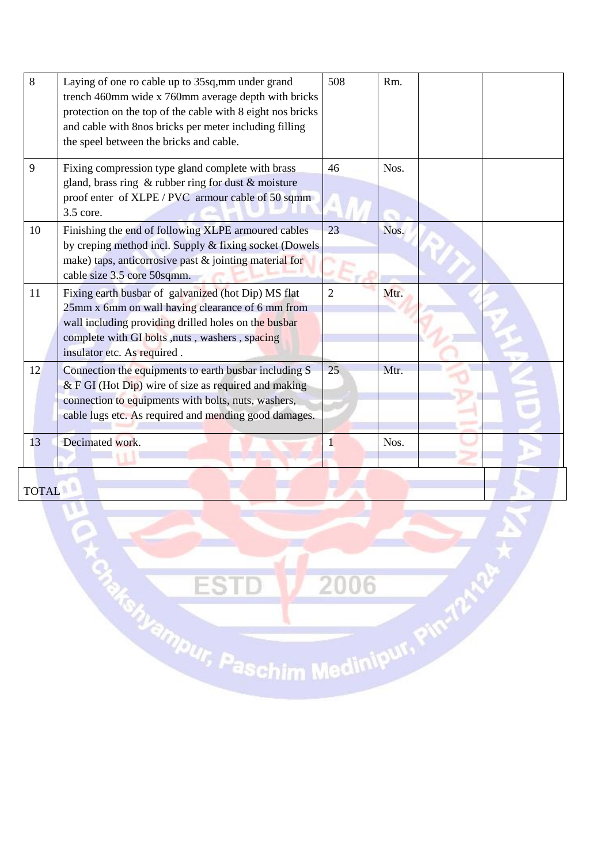| 8  | Laying of one ro cable up to 35sq, mm under grand<br>trench 460mm wide x 760mm average depth with bricks<br>protection on the top of the cable with 8 eight nos bricks<br>and cable with 8nos bricks per meter including filling<br>the speel between the bricks and cable. | 508            | Rm.  |  |
|----|-----------------------------------------------------------------------------------------------------------------------------------------------------------------------------------------------------------------------------------------------------------------------------|----------------|------|--|
| 9  | Fixing compression type gland complete with brass<br>gland, brass ring $\&$ rubber ring for dust $\&$ moisture<br>proof enter of XLPE / PVC armour cable of 50 sqmm<br>3.5 core.                                                                                            | 46             | Nos. |  |
| 10 | Finishing the end of following XLPE armoured cables<br>by creping method incl. Supply & fixing socket (Dowels<br>make) taps, anticorrosive past & jointing material for<br>cable size 3.5 core 50sqmm.                                                                      | 23             | Nos. |  |
| 11 | Fixing earth busbar of galvanized (hot Dip) MS flat<br>25mm x 6mm on wall having clearance of 6 mm from<br>wall including providing drilled holes on the busbar<br>complete with GI bolts, nuts, washers, spacing<br>insulator etc. As required.                            | $\overline{2}$ | Mtr. |  |
| 12 | Connection the equipments to earth busbar including S<br>$&$ F GI (Hot Dip) wire of size as required and making<br>connection to equipments with bolts, nuts, washers,<br>cable lugs etc. As required and mending good damages.                                             | 25             | Mtr. |  |
| 13 | Decimated work.                                                                                                                                                                                                                                                             |                | Nos. |  |
|    |                                                                                                                                                                                                                                                                             |                |      |  |

TOTAL

U

**ESTD 1/2006**<br>Ma<sub>Romyampur, Paschim Medinipur, Pinrip<sup>Map</sup></sub>

 $\star$